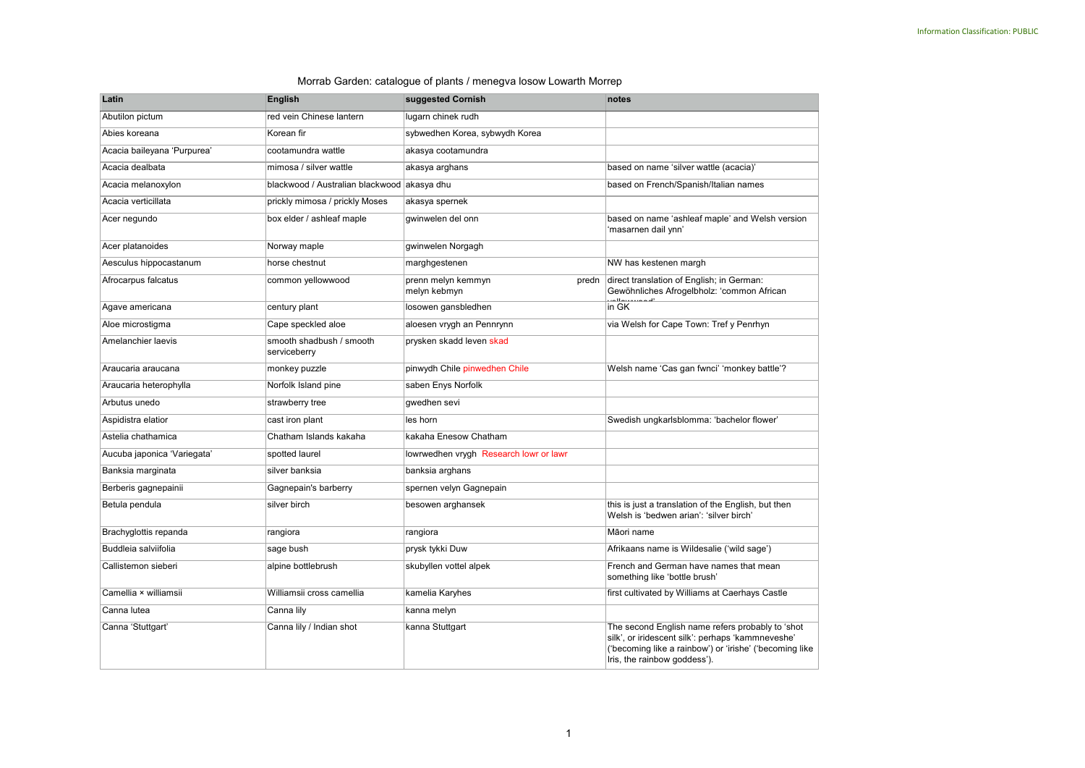## Morrab Garden: catalogue of plants / menegva losow Lowarth Morrep

| Latin                       | <b>English</b>                              | suggested Cornish                           | notes                                                                                                                                                                                            |
|-----------------------------|---------------------------------------------|---------------------------------------------|--------------------------------------------------------------------------------------------------------------------------------------------------------------------------------------------------|
| Abutilon pictum             | red vein Chinese lantern                    | lugarn chinek rudh                          |                                                                                                                                                                                                  |
| Abies koreana               | Korean fir                                  | sybwedhen Korea, sybwydh Korea              |                                                                                                                                                                                                  |
| Acacia baileyana 'Purpurea' | cootamundra wattle                          | akasya cootamundra                          |                                                                                                                                                                                                  |
| Acacia dealbata             | mimosa / silver wattle                      | akasya arghans                              | based on name 'silver wattle (acacia)'                                                                                                                                                           |
| Acacia melanoxylon          | blackwood / Australian blackwood akasya dhu |                                             | based on French/Spanish/Italian names                                                                                                                                                            |
| Acacia verticillata         | prickly mimosa / prickly Moses              | akasya spernek                              |                                                                                                                                                                                                  |
| Acer negundo                | box elder / ashleaf maple                   | gwinwelen del onn                           | based on name 'ashleaf maple' and Welsh version<br>'masarnen dail ynn'                                                                                                                           |
| Acer platanoides            | Norway maple                                | gwinwelen Norgagh                           |                                                                                                                                                                                                  |
| Aesculus hippocastanum      | horse chestnut                              | marghgestenen                               | NW has kestenen margh                                                                                                                                                                            |
| Afrocarpus falcatus         | common yellowwood                           | prenn melyn kemmyn<br>predn<br>melyn kebmyn | direct translation of English; in German:<br>Gewöhnliches Afrogelbholz: 'common African                                                                                                          |
| Agave americana             | century plant                               | losowen gansbledhen                         | بتمنيمللمت<br>in GK                                                                                                                                                                              |
| Aloe microstigma            | Cape speckled aloe                          | aloesen vrygh an Pennrynn                   | via Welsh for Cape Town: Tref y Penrhyn                                                                                                                                                          |
| Amelanchier laevis          | smooth shadbush / smooth<br>serviceberry    | prysken skadd leven skad                    |                                                                                                                                                                                                  |
| Araucaria araucana          | monkey puzzle                               | pinwydh Chile pinwedhen Chile               | Welsh name 'Cas gan fwnci' 'monkey battle'?                                                                                                                                                      |
| Araucaria heterophylla      | Norfolk Island pine                         | saben Enys Norfolk                          |                                                                                                                                                                                                  |
| Arbutus unedo               | strawberry tree                             | qwedhen sevi                                |                                                                                                                                                                                                  |
| Aspidistra elatior          | cast iron plant                             | les horn                                    | Swedish ungkarlsblomma: 'bachelor flower'                                                                                                                                                        |
| Astelia chathamica          | Chatham Islands kakaha                      | kakaha Enesow Chatham                       |                                                                                                                                                                                                  |
| Aucuba japonica 'Variegata' | spotted laurel                              | lowrwedhen vrygh Research lowr or lawr      |                                                                                                                                                                                                  |
| Banksia marginata           | silver banksia                              | banksia arghans                             |                                                                                                                                                                                                  |
| Berberis gagnepainii        | Gagnepain's barberry                        | spernen velyn Gagnepain                     |                                                                                                                                                                                                  |
| Betula pendula              | silver birch                                | besowen arghansek                           | this is just a translation of the English, but then<br>Welsh is 'bedwen arian': 'silver birch'                                                                                                   |
| Brachyglottis repanda       | rangiora                                    | rangiora                                    | Māori name                                                                                                                                                                                       |
| Buddleia salviifolia        | sage bush                                   | prysk tykki Duw                             | Afrikaans name is Wildesalie ('wild sage')                                                                                                                                                       |
| Callistemon sieberi         | alpine bottlebrush                          | skubyllen vottel alpek                      | French and German have names that mean<br>something like 'bottle brush'                                                                                                                          |
| Camellia × williamsii       | Williamsii cross camellia                   | kamelia Karyhes                             | first cultivated by Williams at Caerhays Castle                                                                                                                                                  |
| Canna lutea                 | Canna lily                                  | kanna melyn                                 |                                                                                                                                                                                                  |
| Canna 'Stuttgart'           | Canna lily / Indian shot                    | kanna Stuttgart                             | The second English name refers probably to 'shot<br>silk', or iridescent silk': perhaps 'kammneveshe'<br>('becoming like a rainbow') or 'irishe' ('becoming like<br>Iris, the rainbow goddess'). |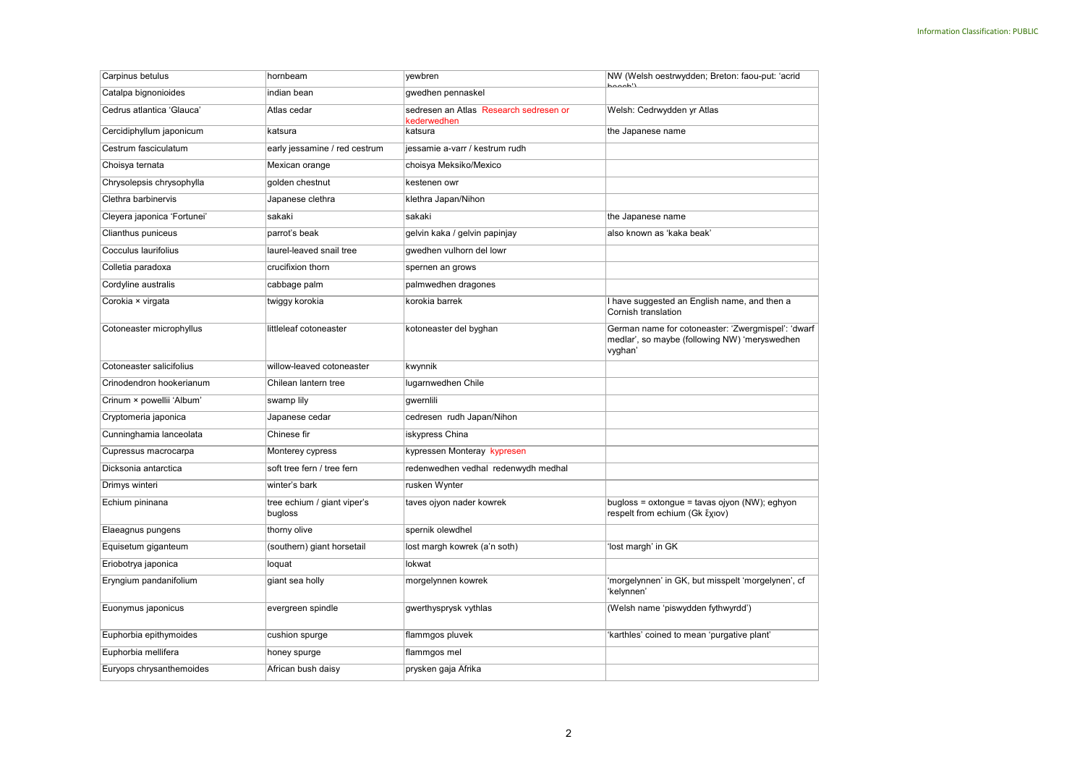| Carpinus betulus            | hornbeam                               | yewbren                                               | NW (Welsh oestrwydden; Breton: faou-put: 'acrid<br>$h$ aach')                                                  |
|-----------------------------|----------------------------------------|-------------------------------------------------------|----------------------------------------------------------------------------------------------------------------|
| Catalpa bignonioides        | indian bean                            | gwedhen pennaskel                                     |                                                                                                                |
| Cedrus atlantica 'Glauca'   | Atlas cedar                            | sedresen an Atlas Research sedresen or<br>kederwedhen | Welsh: Cedrwydden yr Atlas                                                                                     |
| Cercidiphyllum japonicum    | katsura                                | katsura                                               | the Japanese name                                                                                              |
| Cestrum fasciculatum        | early jessamine / red cestrum          | jessamie a-varr / kestrum rudh                        |                                                                                                                |
| Choisya ternata             | Mexican orange                         | choisya Meksiko/Mexico                                |                                                                                                                |
| Chrysolepsis chrysophylla   | golden chestnut                        | kestenen owr                                          |                                                                                                                |
| Clethra barbinervis         | Japanese clethra                       | klethra Japan/Nihon                                   |                                                                                                                |
| Cleyera japonica 'Fortunei' | sakaki                                 | sakaki                                                | the Japanese name                                                                                              |
| Clianthus puniceus          | parrot's beak                          | gelvin kaka / gelvin papinjay                         | also known as 'kaka beak'                                                                                      |
| Cocculus laurifolius        | laurel-leaved snail tree               | gwedhen vulhorn del lowr                              |                                                                                                                |
| Colletia paradoxa           | crucifixion thorn                      | spernen an grows                                      |                                                                                                                |
| Cordyline australis         | cabbage palm                           | palmwedhen dragones                                   |                                                                                                                |
| Corokia × virgata           | twiggy korokia                         | korokia barrek                                        | I have suggested an English name, and then a<br>Cornish translation                                            |
| Cotoneaster microphyllus    | littleleaf cotoneaster                 | kotoneaster del byghan                                | German name for cotoneaster: 'Zwergmispel': 'dwarf<br>medlar', so maybe (following NW) 'meryswedhen<br>vyghan' |
| Cotoneaster salicifolius    | willow-leaved cotoneaster              | kwynnik                                               |                                                                                                                |
| Crinodendron hookerianum    | Chilean lantern tree                   | lugarnwedhen Chile                                    |                                                                                                                |
| Crinum × powellii 'Album'   | swamp lily                             | qwernlili                                             |                                                                                                                |
| Cryptomeria japonica        | Japanese cedar                         | cedresen rudh Japan/Nihon                             |                                                                                                                |
| Cunninghamia lanceolata     | Chinese fir                            | iskypress China                                       |                                                                                                                |
| Cupressus macrocarpa        | Monterey cypress                       | kypressen Monteray kypresen                           |                                                                                                                |
| Dicksonia antarctica        | soft tree fern / tree fern             | redenwedhen vedhal redenwydh medhal                   |                                                                                                                |
| Drimys winteri              | winter's bark                          | rusken Wynter                                         |                                                                                                                |
| Echium pininana             | tree echium / giant viper's<br>bugloss | taves ojyon nader kowrek                              | bugloss = oxtongue = tavas ojyon (NW); eghyon<br>respelt from echium (Gk ἔχιον)                                |
| Elaeagnus pungens           | thorny olive                           | spernik olewdhel                                      |                                                                                                                |
| Equisetum giganteum         | (southern) giant horsetail             | lost margh kowrek (a'n soth)                          | 'lost margh' in GK                                                                                             |
| Eriobotrya japonica         | loquat                                 | lokwat                                                |                                                                                                                |
| Eryngium pandanifolium      | giant sea holly                        | morgelynnen kowrek                                    | 'morgelynnen' in GK, but misspelt 'morgelynen', cf<br>'kelynnen'                                               |
| Euonymus japonicus          | evergreen spindle                      | gwerthysprysk vythlas                                 | (Welsh name 'piswydden fythwyrdd')                                                                             |
| Euphorbia epithymoides      | cushion spurge                         | flammgos pluvek                                       | 'karthles' coined to mean 'purgative plant'                                                                    |
| Euphorbia mellifera         | honey spurge                           | flammgos mel                                          |                                                                                                                |
| Euryops chrysanthemoides    | African bush daisy                     | prysken gaja Afrika                                   |                                                                                                                |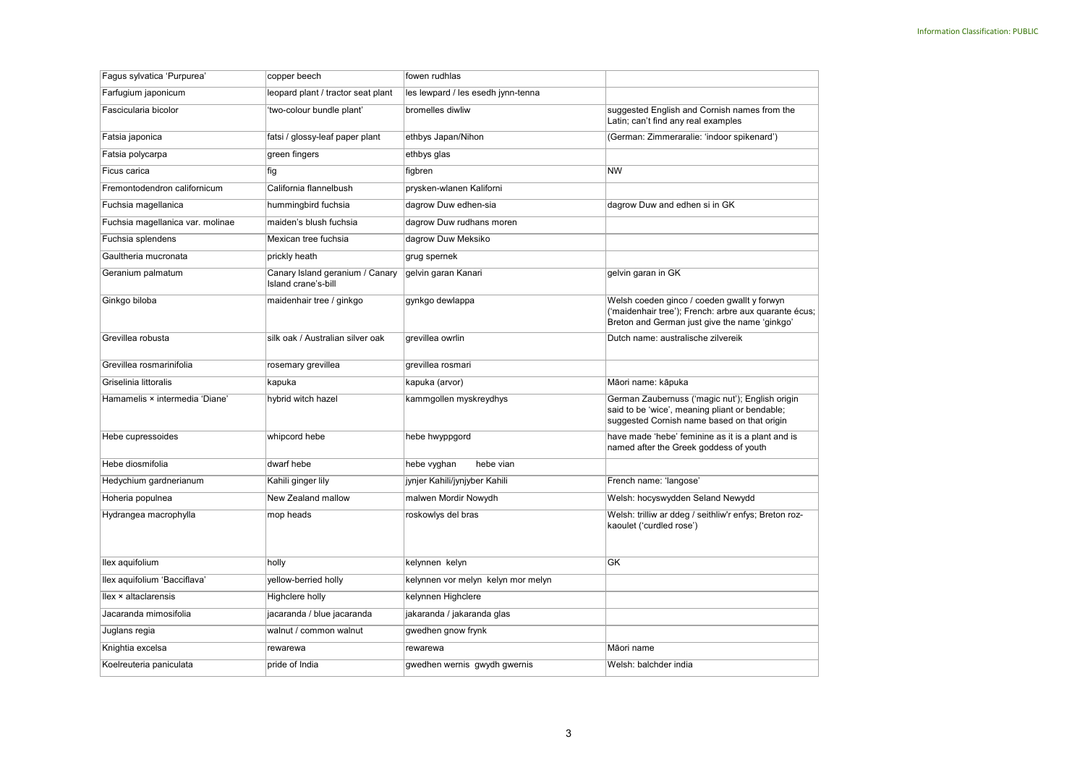| Fagus sylvatica 'Purpurea'       | copper beech                                           | fowen rudhlas                      |                                                                                                                                                       |
|----------------------------------|--------------------------------------------------------|------------------------------------|-------------------------------------------------------------------------------------------------------------------------------------------------------|
| Farfugium japonicum              | leopard plant / tractor seat plant                     | les lewpard / les esedh jynn-tenna |                                                                                                                                                       |
| Fascicularia bicolor             | 'two-colour bundle plant'                              | bromelles diwliw                   | suggested English and Cornish names from the<br>Latin; can't find any real examples                                                                   |
| Fatsia japonica                  | fatsi / glossy-leaf paper plant                        | ethbys Japan/Nihon                 | (German: Zimmeraralie: 'indoor spikenard')                                                                                                            |
| Fatsia polycarpa                 | green fingers                                          | ethbys glas                        |                                                                                                                                                       |
| Ficus carica                     | fig                                                    | figbren                            | <b>NW</b>                                                                                                                                             |
| Fremontodendron californicum     | California flannelbush                                 | prysken-wlanen Kaliforni           |                                                                                                                                                       |
| Fuchsia magellanica              | hummingbird fuchsia                                    | dagrow Duw edhen-sia               | dagrow Duw and edhen si in GK                                                                                                                         |
| Fuchsia magellanica var. molinae | maiden's blush fuchsia                                 | dagrow Duw rudhans moren           |                                                                                                                                                       |
| Fuchsia splendens                | Mexican tree fuchsia                                   | dagrow Duw Meksiko                 |                                                                                                                                                       |
| Gaultheria mucronata             | prickly heath                                          | grug spernek                       |                                                                                                                                                       |
| Geranium palmatum                | Canary Island geranium / Canary<br>Island crane's-bill | gelvin garan Kanari                | gelvin garan in GK                                                                                                                                    |
| Ginkgo biloba                    | maidenhair tree / ginkgo                               | gynkgo dewlappa                    | Welsh coeden ginco / coeden gwallt y forwyn<br>('maidenhair tree'); French: arbre aux quarante écus;<br>Breton and German just give the name 'ginkgo' |
| Grevillea robusta                | silk oak / Australian silver oak                       | grevillea owrlin                   | Dutch name: australische zilvereik                                                                                                                    |
| Grevillea rosmarinifolia         | rosemary grevillea                                     | grevillea rosmari                  |                                                                                                                                                       |
| Griselinia littoralis            | kapuka                                                 | kapuka (arvor)                     | Māori name: kāpuka                                                                                                                                    |
| Hamamelis × intermedia 'Diane'   | hybrid witch hazel                                     | kammgollen myskreydhys             | German Zaubernuss ('magic nut'); English origin<br>said to be 'wice', meaning pliant or bendable;<br>suggested Cornish name based on that origin      |
| Hebe cupressoides                | whipcord hebe                                          | hebe hwyppgord                     | have made 'hebe' feminine as it is a plant and is<br>named after the Greek goddess of youth                                                           |
| Hebe diosmifolia                 | dwarf hebe                                             | hebe vyghan<br>hebe vian           |                                                                                                                                                       |
| Hedychium gardnerianum           | Kahili ginger lily                                     | jynjer Kahili/jynjyber Kahili      | French name: 'langose'                                                                                                                                |
| Hoheria populnea                 | New Zealand mallow                                     | malwen Mordir Nowydh               | Welsh: hocyswydden Seland Newydd                                                                                                                      |
| Hydrangea macrophylla            | mop heads                                              | roskowlys del bras                 | Welsh: trilliw ar ddeg / seithliw'r enfys; Breton roz-<br>kaoulet ('curdled rose')                                                                    |
| llex aquifolium                  | holly                                                  | kelynnen kelyn                     | GK                                                                                                                                                    |
| llex aquifolium 'Bacciflava'     | yellow-berried holly                                   | kelynnen vor melyn kelyn mor melyn |                                                                                                                                                       |
| llex × altaclarensis             | Highclere holly                                        | kelynnen Highclere                 |                                                                                                                                                       |
| Jacaranda mimosifolia            | jacaranda / blue jacaranda                             | jakaranda / jakaranda glas         |                                                                                                                                                       |
| Juglans regia                    | walnut / common walnut                                 | gwedhen gnow frynk                 |                                                                                                                                                       |
| Knightia excelsa                 | rewarewa                                               | rewarewa                           | Māori name                                                                                                                                            |
| Koelreuteria paniculata          | pride of India                                         | gwedhen wernis gwydh gwernis       | Welsh: balchder india                                                                                                                                 |
|                                  |                                                        |                                    |                                                                                                                                                       |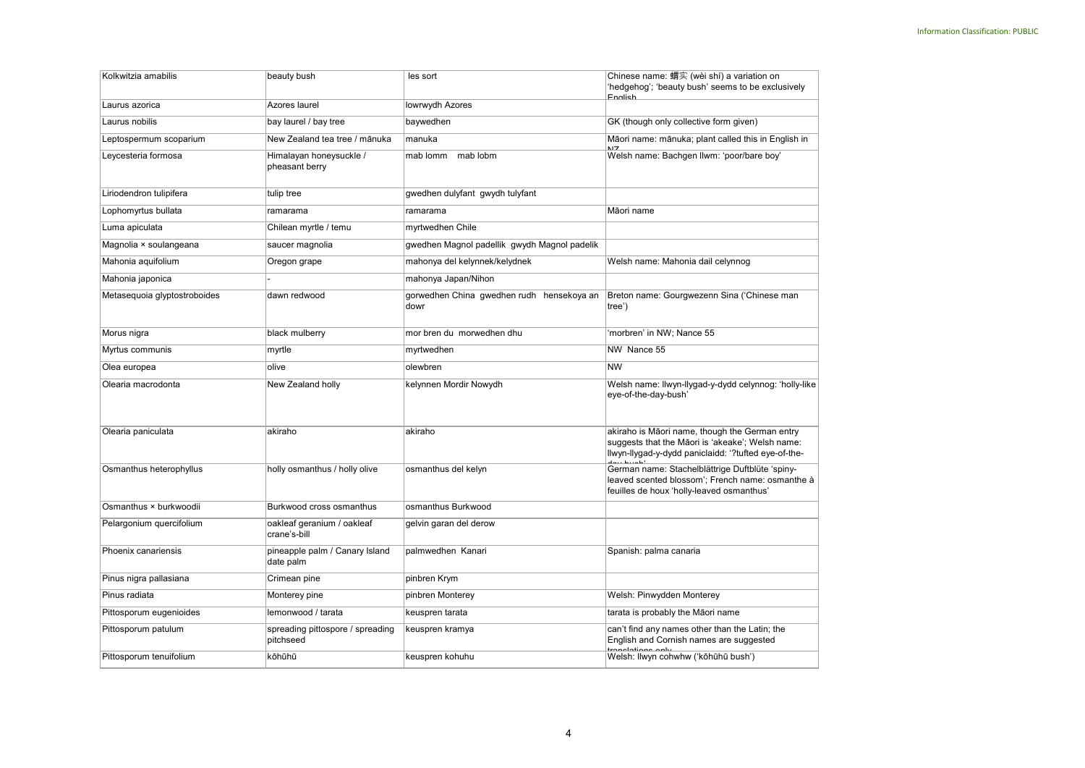| Kolkwitzia amabilis          | beauty bush                                   | les sort                                          | Chinese name: 蝟实 (wèi shí) a variation on<br>'hedgehog'; 'beauty bush' seems to be exclusively<br><b>Fnalish</b>                                           |
|------------------------------|-----------------------------------------------|---------------------------------------------------|------------------------------------------------------------------------------------------------------------------------------------------------------------|
| Laurus azorica               | Azores laurel                                 | lowrwydh Azores                                   |                                                                                                                                                            |
| Laurus nobilis               | bay laurel / bay tree                         | baywedhen                                         | GK (though only collective form given)                                                                                                                     |
| Leptospermum scoparium       | New Zealand tea tree / mānuka                 | manuka                                            | Māori name: mānuka; plant called this in English in                                                                                                        |
| Leycesteria formosa          | Himalayan honeysuckle /<br>pheasant berry     | mab lomm<br>mab lobm                              | Welsh name: Bachgen llwm: 'poor/bare boy'                                                                                                                  |
| Liriodendron tulipifera      | tulip tree                                    | gwedhen dulyfant gwydh tulyfant                   |                                                                                                                                                            |
| Lophomyrtus bullata          | ramarama                                      | ramarama                                          | Māori name                                                                                                                                                 |
| Luma apiculata               | Chilean myrtle / temu                         | myrtwedhen Chile                                  |                                                                                                                                                            |
| Magnolia × soulangeana       | saucer magnolia                               | gwedhen Magnol padellik gwydh Magnol padelik      |                                                                                                                                                            |
| Mahonia aquifolium           | Oregon grape                                  | mahonya del kelynnek/kelydnek                     | Welsh name: Mahonia dail celynnog                                                                                                                          |
| Mahonia japonica             |                                               | mahonya Japan/Nihon                               |                                                                                                                                                            |
| Metasequoia glyptostroboides | dawn redwood                                  | gorwedhen China gwedhen rudh hensekoya an<br>dowr | Breton name: Gourgwezenn Sina ('Chinese man<br>tree')                                                                                                      |
| Morus nigra                  | black mulberry                                | mor bren du morwedhen dhu                         | 'morbren' in NW; Nance 55                                                                                                                                  |
| Myrtus communis              | myrtle                                        | myrtwedhen                                        | NW Nance 55                                                                                                                                                |
| Olea europea                 | olive                                         | olewbren                                          | <b>NW</b>                                                                                                                                                  |
| Olearia macrodonta           | New Zealand holly                             | kelynnen Mordir Nowydh                            | Welsh name: llwyn-llygad-y-dydd celynnog: 'holly-like<br>eye-of-the-day-bush'                                                                              |
| Olearia paniculata           | akiraho                                       | akiraho                                           | akiraho is Māori name, though the German entry<br>suggests that the Māori is 'akeake'; Welsh name:<br>llwyn-llygad-y-dydd paniclaidd: '?tufted eye-of-the- |
| Osmanthus heterophyllus      | holly osmanthus / holly olive                 | osmanthus del kelyn                               | German name: Stachelblättrige Duftblüte 'spiny-<br>leaved scented blossom'; French name: osmanthe à<br>feuilles de houx 'holly-leaved osmanthus'           |
| Osmanthus × burkwoodii       | Burkwood cross osmanthus                      | osmanthus Burkwood                                |                                                                                                                                                            |
| Pelargonium quercifolium     | oakleaf geranium / oakleaf<br>crane's-bill    | gelvin garan del derow                            |                                                                                                                                                            |
| Phoenix canariensis          | pineapple palm / Canary Island<br>date palm   | palmwedhen Kanari                                 | Spanish: palma canaria                                                                                                                                     |
| Pinus nigra pallasiana       | Crimean pine                                  | pinbren Krym                                      |                                                                                                                                                            |
| Pinus radiata                | Monterey pine                                 | pinbren Monterey                                  | Welsh: Pinwydden Monterey                                                                                                                                  |
| Pittosporum eugenioides      | lemonwood / tarata                            | keuspren tarata                                   | tarata is probably the Māori name                                                                                                                          |
| Pittosporum patulum          | spreading pittospore / spreading<br>pitchseed | keuspren kramya                                   | can't find any names other than the Latin; the<br>English and Cornish names are suggested<br><u>ranalationa anhe</u>                                       |
| Pittosporum tenuifolium      | kōhūhū                                        | keuspren kohuhu                                   | Welsh: Ilwyn cohwhw ('kōhūhū bush')                                                                                                                        |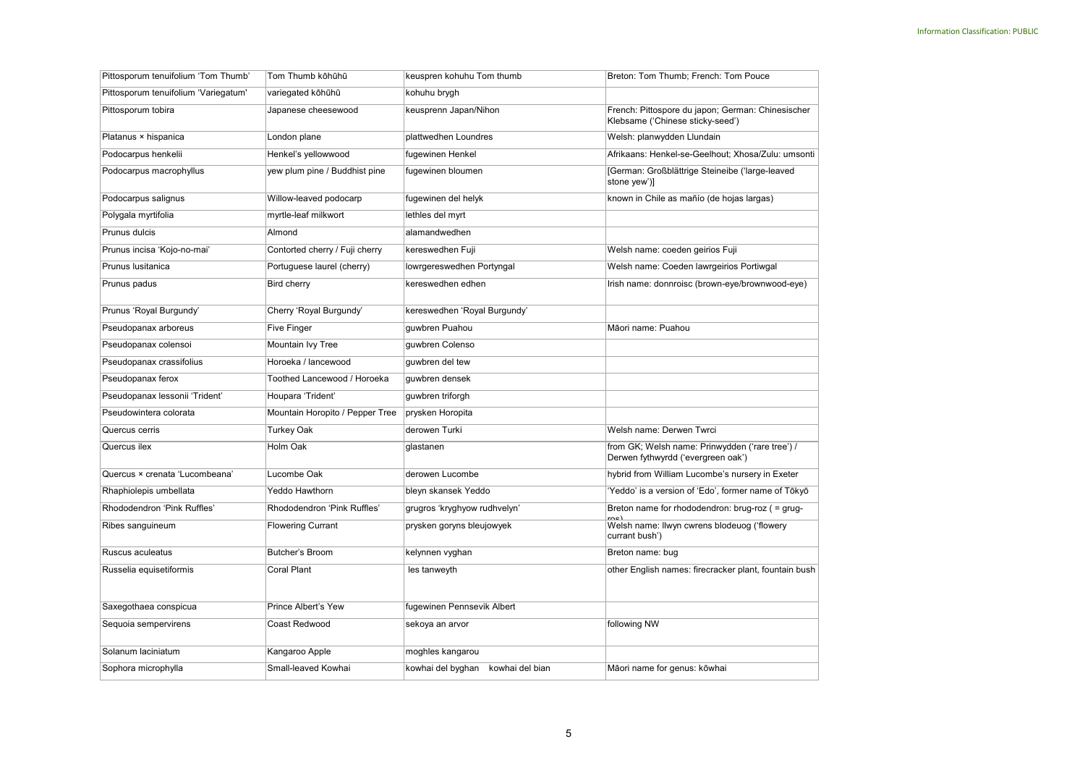| Pittosporum tenuifolium 'Tom Thumb'  | Tom Thumb kōhūhū                | keuspren kohuhu Tom thumb         | Breton: Tom Thumb; French: Tom Pouce                                                  |
|--------------------------------------|---------------------------------|-----------------------------------|---------------------------------------------------------------------------------------|
| Pittosporum tenuifolium 'Variegatum' | variegated kōhūhū               | kohuhu brygh                      |                                                                                       |
| Pittosporum tobira                   | Japanese cheesewood             | keusprenn Japan/Nihon             | French: Pittospore du japon; German: Chinesischer<br>Klebsame ('Chinese sticky-seed') |
| Platanus × hispanica                 | London plane                    | plattwedhen Loundres              | Welsh: planwydden Llundain                                                            |
| Podocarpus henkelii                  | Henkel's yellowwood             | fugewinen Henkel                  | Afrikaans: Henkel-se-Geelhout; Xhosa/Zulu: umsonti                                    |
| Podocarpus macrophyllus              | yew plum pine / Buddhist pine   | fugewinen bloumen                 | [German: Großblättrige Steineibe ('large-leaved<br>stone yew')]                       |
| Podocarpus salignus                  | Willow-leaved podocarp          | fugewinen del helyk               | known in Chile as mañío (de hojas largas)                                             |
| Polygala myrtifolia                  | myrtle-leaf milkwort            | lethles del myrt                  |                                                                                       |
| Prunus dulcis                        | Almond                          | alamandwedhen                     |                                                                                       |
| Prunus incisa 'Kojo-no-mai'          | Contorted cherry / Fuji cherry  | kereswedhen Fuji                  | Welsh name: coeden geirios Fuji                                                       |
| Prunus Iusitanica                    | Portuguese laurel (cherry)      | lowrgereswedhen Portyngal         | Welsh name: Coeden lawrgeirios Portiwgal                                              |
| Prunus padus                         | Bird cherry                     | kereswedhen edhen                 | Irish name: donnroisc (brown-eye/brownwood-eye)                                       |
| Prunus 'Royal Burgundy'              | Cherry 'Royal Burgundy'         | kereswedhen 'Royal Burgundy'      |                                                                                       |
| Pseudopanax arboreus                 | Five Finger                     | quwbren Puahou                    | Māori name: Puahou                                                                    |
| Pseudopanax colensoi                 | Mountain Ivy Tree               | guwbren Colenso                   |                                                                                       |
| Pseudopanax crassifolius             | Horoeka / lancewood             | guwbren del tew                   |                                                                                       |
| Pseudopanax ferox                    | Toothed Lancewood / Horoeka     | guwbren densek                    |                                                                                       |
| Pseudopanax lessonii 'Trident'       | Houpara 'Trident'               | guwbren triforgh                  |                                                                                       |
| Pseudowintera colorata               | Mountain Horopito / Pepper Tree | prysken Horopita                  |                                                                                       |
| Quercus cerris                       | Turkey Oak                      | derowen Turki                     | Welsh name: Derwen Twrci                                                              |
| Quercus ilex                         | Holm Oak                        | glastanen                         | from GK; Welsh name: Prinwydden ('rare tree') /<br>Derwen fythwyrdd ('evergreen oak') |
| Quercus × crenata 'Lucombeana'       | Lucombe Oak                     | derowen Lucombe                   | hybrid from William Lucombe's nursery in Exeter                                       |
| Rhaphiolepis umbellata               | Yeddo Hawthorn                  | bleyn skansek Yeddo               | 'Yeddo' is a version of 'Edo', former name of Tōkyō                                   |
| Rhododendron 'Pink Ruffles'          | Rhododendron 'Pink Ruffles'     | grugros 'kryghyow rudhvelyn'      | Breton name for rhododendron: brug-roz ( = grug-                                      |
| Ribes sanguineum                     | <b>Flowering Currant</b>        | prysken goryns bleujowyek         | Welsh name: Ilwyn cwrens blodeuog ('flowery<br>currant bush')                         |
| Ruscus aculeatus                     | <b>Butcher's Broom</b>          | kelynnen vyghan                   | Breton name: bug                                                                      |
| Russelia equisetiformis              | <b>Coral Plant</b>              | les tanweyth                      | other English names: firecracker plant, fountain bush                                 |
| Saxegothaea conspicua                | Prince Albert's Yew             | fugewinen Pennsevik Albert        |                                                                                       |
| Sequoia sempervirens                 | Coast Redwood                   | sekoya an arvor                   | following NW                                                                          |
| Solanum laciniatum                   | Kangaroo Apple                  | moghles kangarou                  |                                                                                       |
| Sophora microphylla                  | Small-leaved Kowhai             | kowhai del byghan kowhai del bian | Māori name for genus: kōwhai                                                          |